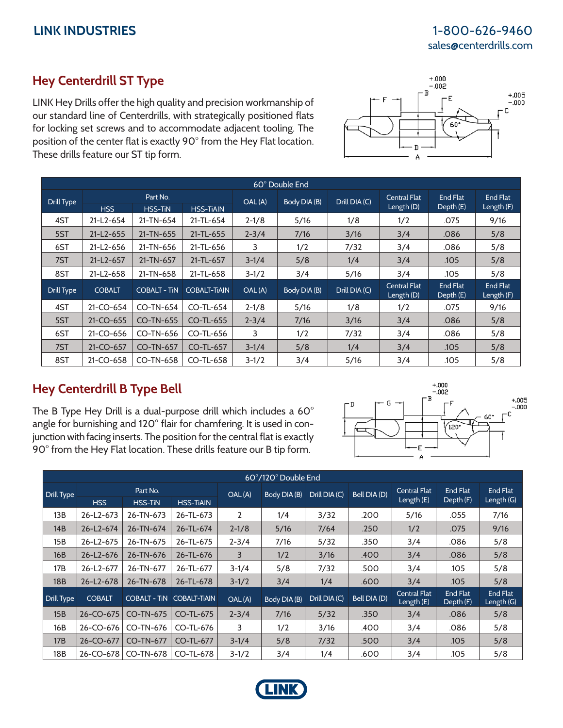## **LINK INDUSTRIES** 1-800-626-9460 sales@centerdrills.com

## **Hey Centerdrill ST Type**

LINK Hey Drills offer the high quality and precision workmanship of our standard line of Centerdrills, with strategically positioned flats for locking set screws and to accommodate adjacent tooling. The position of the center flat is exactly 90° from the Hey Flat location. These drills feature our ST tip form.



| 60° Double End |                 |                                                |                     |           |              |               |                                     |                       |                        |  |
|----------------|-----------------|------------------------------------------------|---------------------|-----------|--------------|---------------|-------------------------------------|-----------------------|------------------------|--|
| Drill Type     | <b>HSS</b>      | Part No.<br><b>HSS-TIN</b><br><b>HSS-TIAIN</b> |                     | OAL (A)   | Body DIA (B) | Drill DIA (C) | <b>Central Flat</b><br>Length $(D)$ | End Flat<br>Depth (E) | End Flat<br>Length (F) |  |
| 4ST            | $21-L2-654$     | 21-TN-654                                      | 21-TL-654           | $2 - 1/8$ | 5/16         | 1/8           | 1/2                                 | .075                  | 9/16                   |  |
| 5ST            | $21-L2-655$     | 21-TN-655                                      | 21-TL-655           | $2 - 3/4$ | 7/16         | 3/16          | 3/4                                 | .086                  | 5/8                    |  |
| 6ST            | $21-L2-656$     | 21-TN-656                                      | 21-TL-656           | 3         | 1/2          | 7/32          | 3/4                                 | .086                  | 5/8                    |  |
| 7ST            | $21-L2-657$     | 21-TN-657                                      | $21-TL-657$         | $3 - 1/4$ | 5/8          | 1/4           | 3/4                                 | .105                  | 5/8                    |  |
| 8ST            | 21-L2-658       | 21-TN-658                                      | 21-TL-658           | $3 - 1/2$ | 3/4          | 5/16          | 3/4                                 | .105                  | 5/8                    |  |
| Drill Type     | <b>COBALT</b>   | <b>COBALT - TIN</b>                            | <b>COBALT-TIAIN</b> | OAL (A)   | Body DIA (B) | Drill DIA (C) | <b>Central Flat</b><br>Length (D)   | End Flat<br>Depth (E) | End Flat<br>Length (F) |  |
| 4ST            | $21-CO-654$     | CO-TN-654                                      | $CO-TL-654$         | $2 - 1/8$ | 5/16         | 1/8           | 1/2                                 | .075                  | 9/16                   |  |
| 5ST            | $21-CO-655$     | CO-TN-655                                      | $CO-TL-655$         | $2 - 3/4$ | 7/16         | 3/16          | 3/4                                 | .086                  | 5/8                    |  |
| 6ST            | 21-CO-656       | CO-TN-656                                      | CO-TL-656           | 3         | 1/2          | 7/32          | 3/4                                 | .086                  | 5/8                    |  |
| 7ST            | 21-CO-657       | <b>CO-TN-657</b>                               | $CO-TL-657$         | $3 - 1/4$ | 5/8          | 1/4           | 3/4                                 | .105                  | 5/8                    |  |
| 8ST            | $21 - CO - 658$ | CO-TN-658                                      | $CO-TL-658$         | $3-1/2$   | 3/4          | 5/16          | 3/4                                 | .105                  | 5/8                    |  |

## **Hey Centerdrill B Type Bell**

The B Type Hey Drill is a dual-purpose drill which includes a 60° angle for burnishing and 120° flair for chamfering. It is used in conjunction with facing inserts. The position for the central flat is exactly 90° from the Hey Flat location. These drills feature our B tip form.



| 60°/120° Double End |                 |                     |                     |                |              |               |              |                                   |                       |                          |
|---------------------|-----------------|---------------------|---------------------|----------------|--------------|---------------|--------------|-----------------------------------|-----------------------|--------------------------|
| Drill Type          | Part No.        |                     |                     | OAL (A)        | Body DIA (B) | Drill DIA (C) | Bell DIA (D) | <b>Central Flat</b>               | End Flat              | End Flat                 |
|                     | <b>HSS</b>      | <b>HSS-TIN</b>      | <b>HSS-TIAIN</b>    |                |              |               |              | Length $(E)$                      | Depth (F)             | Length $(G)$             |
| 13B                 | 26-L2-673       | 26-TN-673           | 26-TL-673           | $\overline{2}$ | 1/4          | 3/32          | .200         | 5/16                              | .055                  | 7/16                     |
| 14B                 | $26 - L2 - 674$ | 26-TN-674           | 26-TL-674           | $2 - 1/8$      | 5/16         | 7/64          | .250         | 1/2                               | .075                  | 9/16                     |
| 15B                 | 26-L2-675       | 26-TN-675           | 26-TL-675           | $2 - 3/4$      | 7/16         | 5/32          | .350         | 3/4                               | .086                  | 5/8                      |
| 16B                 | $26 - L2 - 676$ | 26-TN-676           | 26-TL-676           | 3              | 1/2          | 3/16          | .400         | 3/4                               | .086                  | 5/8                      |
| 17B                 | 26-L2-677       | 26-TN-677           | 26-TL-677           | $3-1/4$        | 5/8          | 7/32          | .500         | 3/4                               | .105                  | 5/8                      |
| <b>18B</b>          | 26-L2-678       | 26-TN-678           | 26-TL-678           | $3 - 1/2$      | 3/4          | 1/4           | .600         | 3/4                               | .105                  | 5/8                      |
| Drill Type          | <b>COBALT</b>   | <b>COBALT - TIN</b> | <b>COBALT-TIAIN</b> | OAL (A)        | Body DIA (B) | Drill DIA (C) | Bell DIA (D) | <b>Central Flat</b><br>Length (E) | End Flat<br>Depth (F) | End Flat<br>Length $(G)$ |
| 15B                 | 26-CO-675       | <b>CO-TN-675</b>    | $CO-TL-675$         | $2 - 3/4$      | 7/16         | 5/32          | .350         | 3/4                               | .086                  | 5/8                      |
| 16B                 | 26-CO-676       | CO-TN-676           | $CO-TL-676$         | 3              | 1/2          | 3/16          | .400         | 3/4                               | .086                  | 5/8                      |
| 17B                 | $26 - CO - 677$ | <b>CO-TN-677</b>    | $CO-TL-677$         | $3 - 1/4$      | 5/8          | 7/32          | .500         | 3/4                               | .105                  | 5/8                      |
| 18B                 | 26-CO-678       | CO-TN-678           | $CO-TL-678$         | $3 - 1/2$      | 3/4          | 1/4           | .600         | 3/4                               | .105                  | 5/8                      |